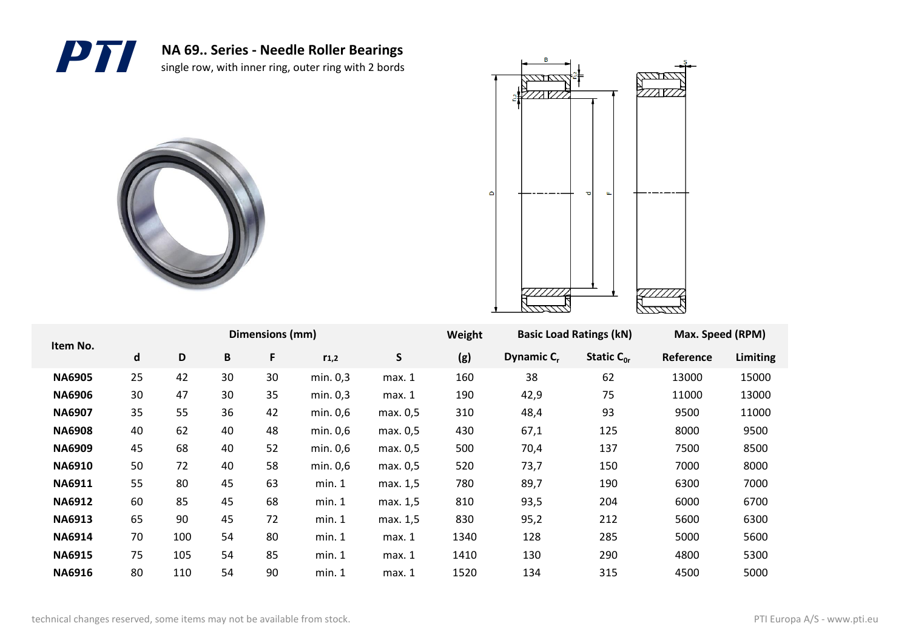





| Item No.      |    |     |    | Dimensions (mm) |           |          | Weight | <b>Basic Load Ratings (kN)</b> |                 | Max. Speed (RPM) |          |
|---------------|----|-----|----|-----------------|-----------|----------|--------|--------------------------------|-----------------|------------------|----------|
|               | d  | D   | B  | F               | $r_{1,2}$ | S        | (g)    | Dynamic C <sub>r</sub>         | Static $C_{0r}$ | Reference        | Limiting |
| <b>NA6905</b> | 25 | 42  | 30 | 30              | min. 0,3  | max.1    | 160    | 38                             | 62              | 13000            | 15000    |
| <b>NA6906</b> | 30 | 47  | 30 | 35              | min. 0,3  | max. 1   | 190    | 42,9                           | 75              | 11000            | 13000    |
| <b>NA6907</b> | 35 | 55  | 36 | 42              | min. 0,6  | max. 0,5 | 310    | 48,4                           | 93              | 9500             | 11000    |
| <b>NA6908</b> | 40 | 62  | 40 | 48              | min. 0,6  | max. 0,5 | 430    | 67,1                           | 125             | 8000             | 9500     |
| <b>NA6909</b> | 45 | 68  | 40 | 52              | min. 0,6  | max. 0,5 | 500    | 70,4                           | 137             | 7500             | 8500     |
| <b>NA6910</b> | 50 | 72  | 40 | 58              | min. 0,6  | max. 0,5 | 520    | 73,7                           | 150             | 7000             | 8000     |
| <b>NA6911</b> | 55 | 80  | 45 | 63              | min. 1    | max. 1,5 | 780    | 89,7                           | 190             | 6300             | 7000     |
| <b>NA6912</b> | 60 | 85  | 45 | 68              | min. 1    | max. 1,5 | 810    | 93,5                           | 204             | 6000             | 6700     |
| <b>NA6913</b> | 65 | 90  | 45 | 72              | min. 1    | max. 1,5 | 830    | 95,2                           | 212             | 5600             | 6300     |
| <b>NA6914</b> | 70 | 100 | 54 | 80              | min. 1    | max. 1   | 1340   | 128                            | 285             | 5000             | 5600     |
| <b>NA6915</b> | 75 | 105 | 54 | 85              | min. 1    | max. 1   | 1410   | 130                            | 290             | 4800             | 5300     |
| <b>NA6916</b> | 80 | 110 | 54 | 90              | min. 1    | max. 1   | 1520   | 134                            | 315             | 4500             | 5000     |